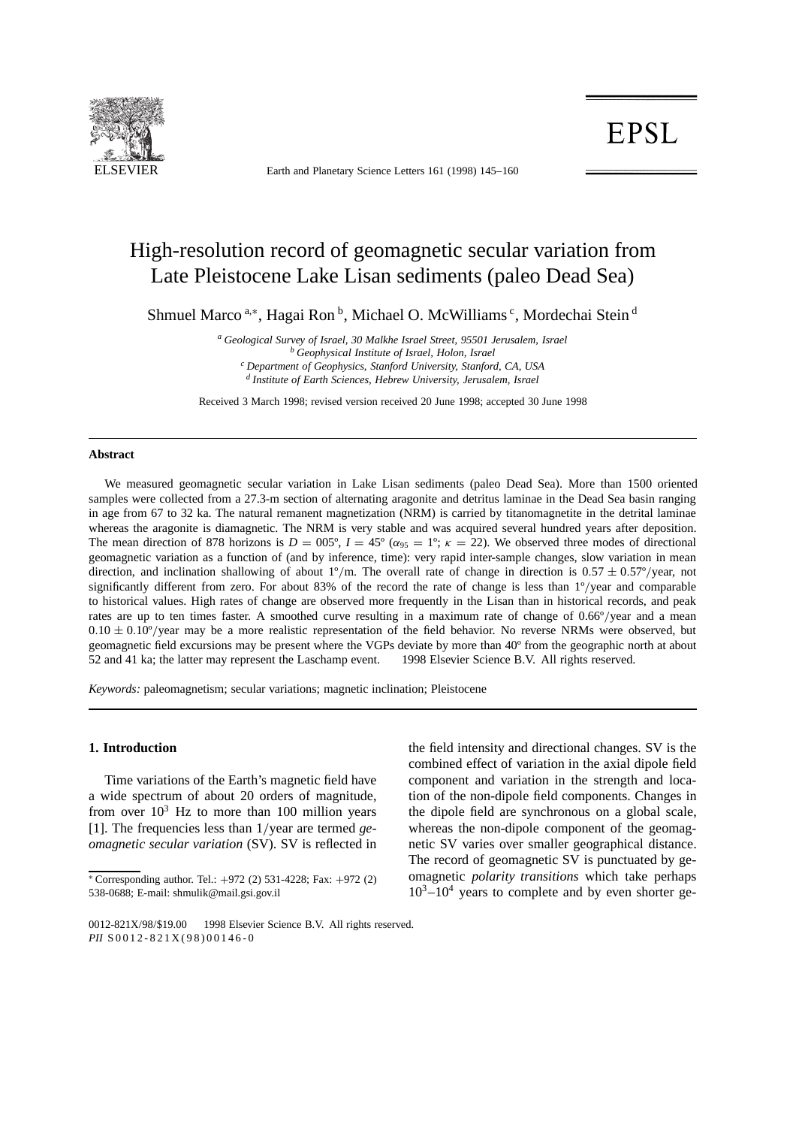

ELSEVIER Earth and Planetary Science Letters 161 (1998) 145-160

# **EPSL**

# High-resolution record of geomagnetic secular variation from Late Pleistocene Lake Lisan sediments (paleo Dead Sea)

Shmuel Marco<sup>a,\*</sup>, Hagai Ron<sup>b</sup>, Michael O. McWilliams<sup>c</sup>, Mordechai Stein<sup>d</sup>

*<sup>a</sup> Geological Survey of Israel, 30 Malkhe Israel Street, 95501 Jerusalem, Israel <sup>b</sup> Geophysical Institute of Israel, Holon, Israel <sup>c</sup> Department of Geophysics, Stanford University, Stanford, CA, USA <sup>d</sup> Institute of Earth Sciences, Hebrew University, Jerusalem, Israel*

Received 3 March 1998; revised version received 20 June 1998; accepted 30 June 1998

# **Abstract**

We measured geomagnetic secular variation in Lake Lisan sediments (paleo Dead Sea). More than 1500 oriented samples were collected from a 27.3-m section of alternating aragonite and detritus laminae in the Dead Sea basin ranging in age from 67 to 32 ka. The natural remanent magnetization (NRM) is carried by titanomagnetite in the detrital laminae whereas the aragonite is diamagnetic. The NRM is very stable and was acquired several hundred years after deposition. The mean direction of 878 horizons is  $D = 005^\circ$ ,  $I = 45^\circ$  ( $\alpha_{95} = 1^\circ$ ;  $\kappa = 22$ ). We observed three modes of directional geomagnetic variation as a function of (and by inference, time): very rapid inter-sample changes, slow variation in mean direction, and inclination shallowing of about  $1^{\circ}/m$ . The overall rate of change in direction is  $0.57 \pm 0.57^{\circ}/year$ , not significantly different from zero. For about 83% of the record the rate of change is less than  $1^{\circ}/\text{year}$  and comparable to historical values. High rates of change are observed more frequently in the Lisan than in historical records, and peak rates are up to ten times faster. A smoothed curve resulting in a maximum rate of change of  $0.66^{\circ}/year$  and a mean  $0.10 \pm 0.10^{\circ}$ /year may be a more realistic representation of the field behavior. No reverse NRMs were observed, but geomagnetic field excursions may be present where the VGPs deviate by more than 40º from the geographic north at about 52 and 41 ka; the latter may represent the Laschamp event. © 1998 Elsevier Science B.V. All rights reserved.

*Keywords:* paleomagnetism; secular variations; magnetic inclination; Pleistocene

# **1. Introduction**

Time variations of the Earth's magnetic field have a wide spectrum of about 20 orders of magnitude, from over  $10<sup>3</sup>$  Hz to more than 100 million years [1]. The frequencies less than  $1$ /year are termed *geomagnetic secular variation* (SV). SV is reflected in the field intensity and directional changes. SV is the combined effect of variation in the axial dipole field component and variation in the strength and location of the non-dipole field components. Changes in the dipole field are synchronous on a global scale, whereas the non-dipole component of the geomagnetic SV varies over smaller geographical distance. The record of geomagnetic SV is punctuated by geomagnetic *polarity transitions* which take perhaps  $10^3 - 10^4$  years to complete and by even shorter ge-

 $*$  Corresponding author. Tel.:  $+972$  (2) 531-4228; Fax:  $+972$  (2) 538-0688; E-mail: shmulik@mail.gsi.gov.il

<sup>0012-821</sup>X/98/\$19.00 © 1998 Elsevier Science B.V. All rights reserved. *PII* S0012-821X(98)00146-0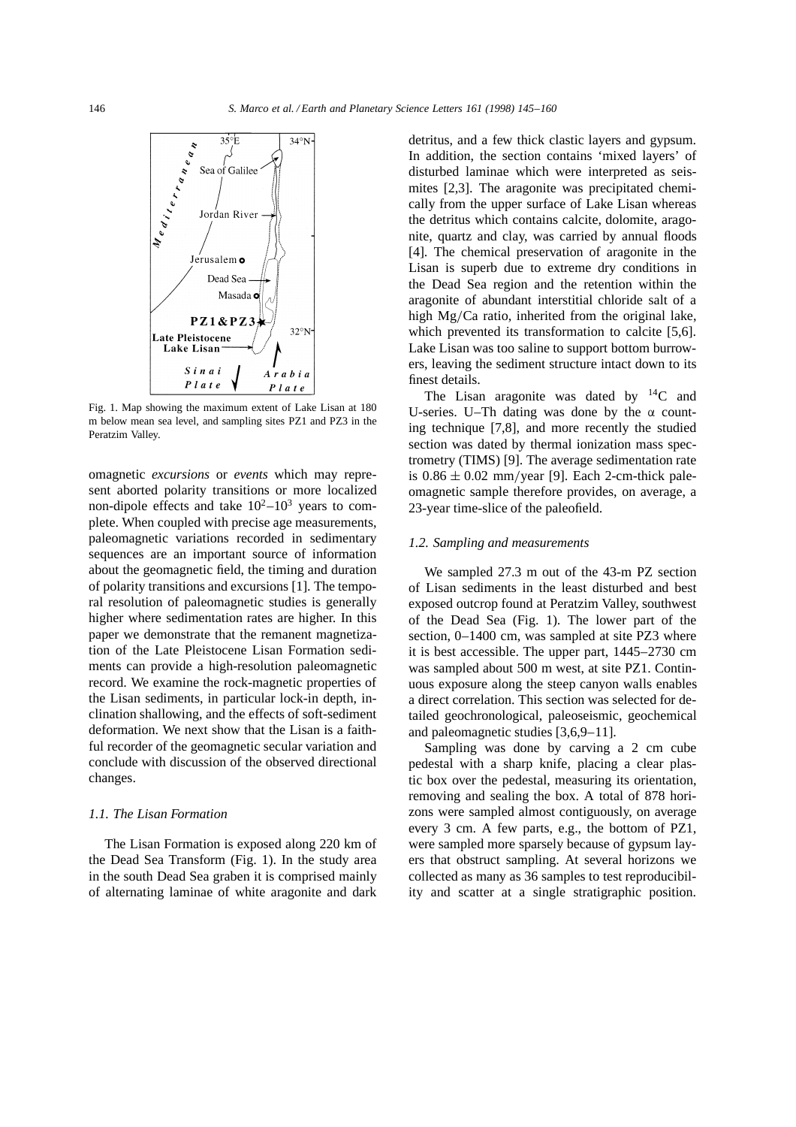

Fig. 1. Map showing the maximum extent of Lake Lisan at 180 m below mean sea level, and sampling sites PZ1 and PZ3 in the Peratzim Valley.

omagnetic *excursions* or *events* which may represent aborted polarity transitions or more localized non-dipole effects and take  $10^2 - 10^3$  years to complete. When coupled with precise age measurements, paleomagnetic variations recorded in sedimentary sequences are an important source of information about the geomagnetic field, the timing and duration of polarity transitions and excursions [1]. The temporal resolution of paleomagnetic studies is generally higher where sedimentation rates are higher. In this paper we demonstrate that the remanent magnetization of the Late Pleistocene Lisan Formation sediments can provide a high-resolution paleomagnetic record. We examine the rock-magnetic properties of the Lisan sediments, in particular lock-in depth, inclination shallowing, and the effects of soft-sediment deformation. We next show that the Lisan is a faithful recorder of the geomagnetic secular variation and conclude with discussion of the observed directional changes.

# *1.1. The Lisan Formation*

The Lisan Formation is exposed along 220 km of the Dead Sea Transform (Fig. 1). In the study area in the south Dead Sea graben it is comprised mainly of alternating laminae of white aragonite and dark

detritus, and a few thick clastic layers and gypsum. In addition, the section contains 'mixed layers' of disturbed laminae which were interpreted as seismites [2,3]. The aragonite was precipitated chemically from the upper surface of Lake Lisan whereas the detritus which contains calcite, dolomite, aragonite, quartz and clay, was carried by annual floods [4]. The chemical preservation of aragonite in the Lisan is superb due to extreme dry conditions in the Dead Sea region and the retention within the aragonite of abundant interstitial chloride salt of a high  $Mg/Ca$  ratio, inherited from the original lake, which prevented its transformation to calcite [5,6]. Lake Lisan was too saline to support bottom burrowers, leaving the sediment structure intact down to its finest details.

The Lisan aragonite was dated by  $^{14}C$  and U-series. U–Th dating was done by the  $\alpha$  counting technique [7,8], and more recently the studied section was dated by thermal ionization mass spectrometry (TIMS) [9]. The average sedimentation rate is  $0.86 \pm 0.02$  mm/year [9]. Each 2-cm-thick paleomagnetic sample therefore provides, on average, a 23-year time-slice of the paleofield.

# *1.2. Sampling and measurements*

We sampled 27.3 m out of the 43-m PZ section of Lisan sediments in the least disturbed and best exposed outcrop found at Peratzim Valley, southwest of the Dead Sea (Fig. 1). The lower part of the section, 0–1400 cm, was sampled at site PZ3 where it is best accessible. The upper part, 1445–2730 cm was sampled about 500 m west, at site PZ1. Continuous exposure along the steep canyon walls enables a direct correlation. This section was selected for detailed geochronological, paleoseismic, geochemical and paleomagnetic studies [3,6,9–11].

Sampling was done by carving a 2 cm cube pedestal with a sharp knife, placing a clear plastic box over the pedestal, measuring its orientation, removing and sealing the box. A total of 878 horizons were sampled almost contiguously, on average every 3 cm. A few parts, e.g., the bottom of PZ1, were sampled more sparsely because of gypsum layers that obstruct sampling. At several horizons we collected as many as 36 samples to test reproducibility and scatter at a single stratigraphic position.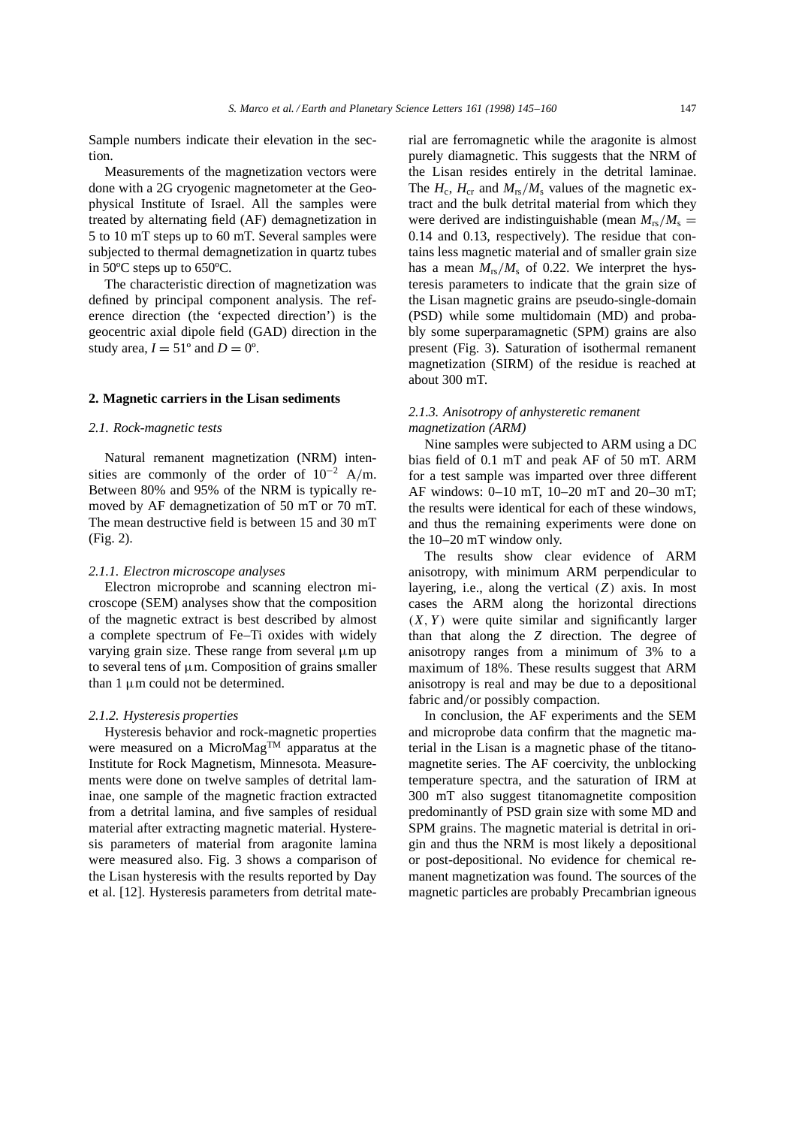Sample numbers indicate their elevation in the section.

Measurements of the magnetization vectors were done with a 2G cryogenic magnetometer at the Geophysical Institute of Israel. All the samples were treated by alternating field (AF) demagnetization in 5 to 10 mT steps up to 60 mT. Several samples were subjected to thermal demagnetization in quartz tubes in 50ºC steps up to 650ºC.

The characteristic direction of magnetization was defined by principal component analysis. The reference direction (the 'expected direction') is the geocentric axial dipole field (GAD) direction in the study area,  $I = 51^\circ$  and  $D = 0^\circ$ .

# **2. Magnetic carriers in the Lisan sediments**

#### *2.1. Rock-magnetic tests*

Natural remanent magnetization (NRM) intensities are commonly of the order of  $10^{-2}$  A/m. Between 80% and 95% of the NRM is typically removed by AF demagnetization of 50 mT or 70 mT. The mean destructive field is between 15 and 30 mT (Fig. 2).

#### *2.1.1. Electron microscope analyses*

Electron microprobe and scanning electron microscope (SEM) analyses show that the composition of the magnetic extract is best described by almost a complete spectrum of Fe–Ti oxides with widely varying grain size. These range from several  $\mu$ m up to several tens of  $\mu$ m. Composition of grains smaller than  $1 \mu m$  could not be determined.

# *2.1.2. Hysteresis properties*

Hysteresis behavior and rock-magnetic properties were measured on a MicroMag<sup>TM</sup> apparatus at the Institute for Rock Magnetism, Minnesota. Measurements were done on twelve samples of detrital laminae, one sample of the magnetic fraction extracted from a detrital lamina, and five samples of residual material after extracting magnetic material. Hysteresis parameters of material from aragonite lamina were measured also. Fig. 3 shows a comparison of the Lisan hysteresis with the results reported by Day et al. [12]. Hysteresis parameters from detrital material are ferromagnetic while the aragonite is almost purely diamagnetic. This suggests that the NRM of the Lisan resides entirely in the detrital laminae. The  $H_c$ ,  $H_{cr}$  and  $M_{rs}/M_s$  values of the magnetic extract and the bulk detrital material from which they were derived are indistinguishable (mean  $M_{rs}/M_s =$ 0.14 and 0.13, respectively). The residue that contains less magnetic material and of smaller grain size has a mean  $M_{rs}/M_s$  of 0.22. We interpret the hysteresis parameters to indicate that the grain size of the Lisan magnetic grains are pseudo-single-domain (PSD) while some multidomain (MD) and probably some superparamagnetic (SPM) grains are also present (Fig. 3). Saturation of isothermal remanent magnetization (SIRM) of the residue is reached at about 300 mT.

# *2.1.3. Anisotropy of anhysteretic remanent magnetization (ARM)*

Nine samples were subjected to ARM using a DC bias field of 0.1 mT and peak AF of 50 mT. ARM for a test sample was imparted over three different AF windows: 0–10 mT, 10–20 mT and 20–30 mT; the results were identical for each of these windows, and thus the remaining experiments were done on the 10–20 mT window only.

The results show clear evidence of ARM anisotropy, with minimum ARM perpendicular to layering, i.e., along the vertical  $(Z)$  axis. In most cases the ARM along the horizontal directions  $(X, Y)$  were quite similar and significantly larger than that along the *Z* direction. The degree of anisotropy ranges from a minimum of 3% to a maximum of 18%. These results suggest that ARM anisotropy is real and may be due to a depositional fabric and/or possibly compaction.

In conclusion, the AF experiments and the SEM and microprobe data confirm that the magnetic material in the Lisan is a magnetic phase of the titanomagnetite series. The AF coercivity, the unblocking temperature spectra, and the saturation of IRM at 300 mT also suggest titanomagnetite composition predominantly of PSD grain size with some MD and SPM grains. The magnetic material is detrital in origin and thus the NRM is most likely a depositional or post-depositional. No evidence for chemical remanent magnetization was found. The sources of the magnetic particles are probably Precambrian igneous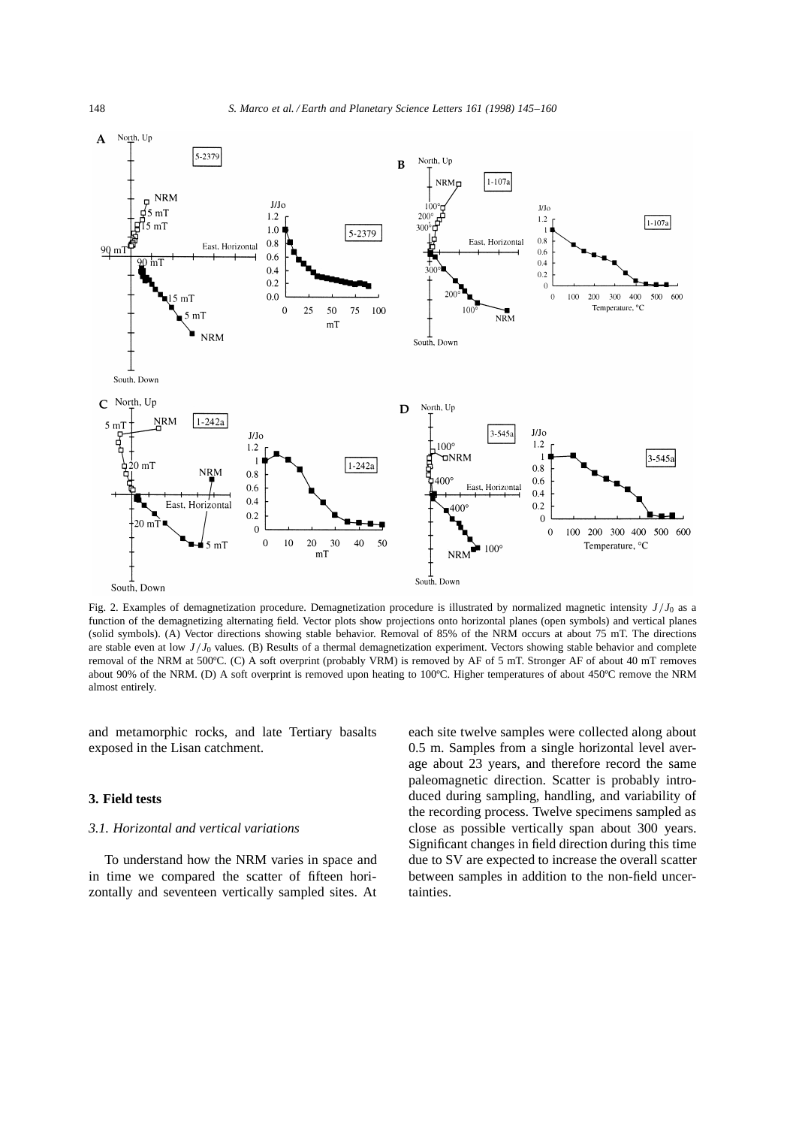

Fig. 2. Examples of demagnetization procedure. Demagnetization procedure is illustrated by normalized magnetic intensity *J*=*J*<sup>0</sup> as a function of the demagnetizing alternating field. Vector plots show projections onto horizontal planes (open symbols) and vertical planes (solid symbols). (A) Vector directions showing stable behavior. Removal of 85% of the NRM occurs at about 75 mT. The directions are stable even at low  $J/J_0$  values. (B) Results of a thermal demagnetization experiment. Vectors showing stable behavior and complete removal of the NRM at 500ºC. (C) A soft overprint (probably VRM) is removed by AF of 5 mT. Stronger AF of about 40 mT removes about 90% of the NRM. (D) A soft overprint is removed upon heating to 100ºC. Higher temperatures of about 450ºC remove the NRM almost entirely.

and metamorphic rocks, and late Tertiary basalts exposed in the Lisan catchment.

# **3. Field tests**

# *3.1. Horizontal and vertical variations*

To understand how the NRM varies in space and in time we compared the scatter of fifteen horizontally and seventeen vertically sampled sites. At each site twelve samples were collected along about 0.5 m. Samples from a single horizontal level average about 23 years, and therefore record the same paleomagnetic direction. Scatter is probably introduced during sampling, handling, and variability of the recording process. Twelve specimens sampled as close as possible vertically span about 300 years. Significant changes in field direction during this time due to SV are expected to increase the overall scatter between samples in addition to the non-field uncertainties.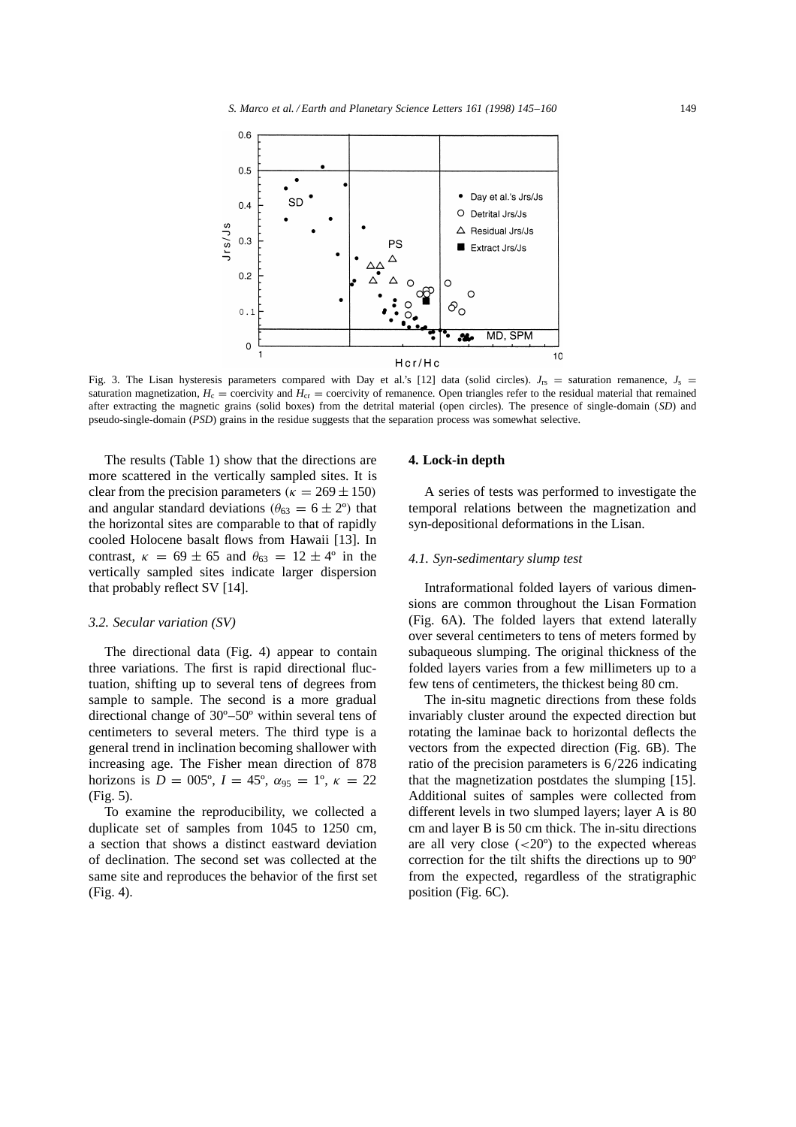

Fig. 3. The Lisan hysteresis parameters compared with Day et al.'s [12] data (solid circles).  $J_{rs}$  = saturation remanence,  $J_s$  = saturation magnetization,  $H_c$  = coercivity and  $H_{cr}$  = coercivity of remanence. Open triangles refer to the residual material that remained after extracting the magnetic grains (solid boxes) from the detrital material (open circles). The presence of single-domain (*SD*) and pseudo-single-domain (*PSD*) grains in the residue suggests that the separation process was somewhat selective.

The results (Table 1) show that the directions are more scattered in the vertically sampled sites. It is clear from the precision parameters ( $\kappa = 269 \pm 150$ ) and angular standard deviations  $(\theta_{63} = 6 \pm 2^{\circ})$  that the horizontal sites are comparable to that of rapidly cooled Holocene basalt flows from Hawaii [13]. In contrast,  $\kappa = 69 \pm 65$  and  $\theta_{63} = 12 \pm 4^{\circ}$  in the vertically sampled sites indicate larger dispersion that probably reflect SV [14].

# *3.2. Secular variation (SV)*

The directional data (Fig. 4) appear to contain three variations. The first is rapid directional fluctuation, shifting up to several tens of degrees from sample to sample. The second is a more gradual directional change of 30º–50º within several tens of centimeters to several meters. The third type is a general trend in inclination becoming shallower with increasing age. The Fisher mean direction of 878 horizons is  $D = 005^{\circ}$ ,  $I = 45^{\circ}$ ,  $\alpha_{95} = 1^{\circ}$ ,  $\kappa = 22$ (Fig. 5).

To examine the reproducibility, we collected a duplicate set of samples from 1045 to 1250 cm, a section that shows a distinct eastward deviation of declination. The second set was collected at the same site and reproduces the behavior of the first set (Fig. 4).

#### **4. Lock-in depth**

A series of tests was performed to investigate the temporal relations between the magnetization and syn-depositional deformations in the Lisan.

### *4.1. Syn-sedimentary slump test*

Intraformational folded layers of various dimensions are common throughout the Lisan Formation (Fig. 6A). The folded layers that extend laterally over several centimeters to tens of meters formed by subaqueous slumping. The original thickness of the folded layers varies from a few millimeters up to a few tens of centimeters, the thickest being 80 cm.

The in-situ magnetic directions from these folds invariably cluster around the expected direction but rotating the laminae back to horizontal deflects the vectors from the expected direction (Fig. 6B). The ratio of the precision parameters is  $6/226$  indicating that the magnetization postdates the slumping [15]. Additional suites of samples were collected from different levels in two slumped layers; layer A is 80 cm and layer B is 50 cm thick. The in-situ directions are all very close  $(<20^{\circ})$  to the expected whereas correction for the tilt shifts the directions up to 90º from the expected, regardless of the stratigraphic position (Fig. 6C).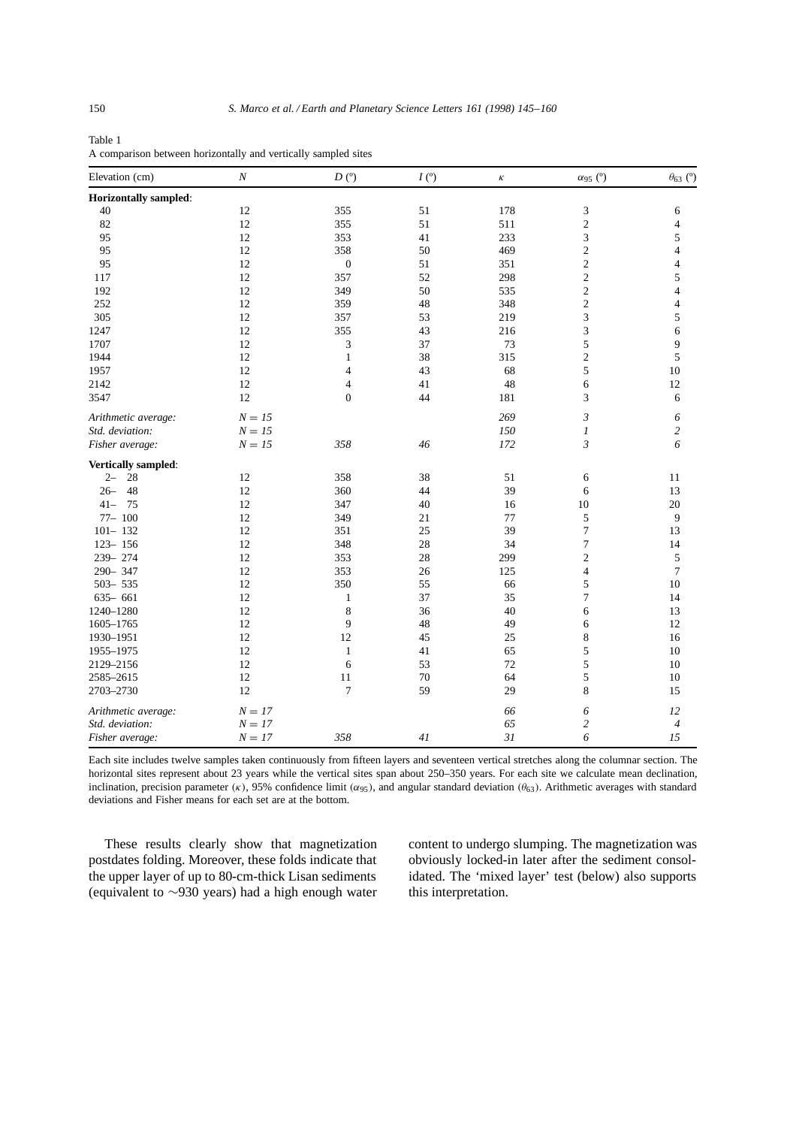Table 1 A comparison between horizontally and vertically sampled sites

| Elevation (cm)               | $\cal N$ | D <sup>o</sup>   | I(°) | К   | $\alpha_{95}$ (°) | $\theta_{63}$ (°)        |
|------------------------------|----------|------------------|------|-----|-------------------|--------------------------|
| <b>Horizontally sampled:</b> |          |                  |      |     |                   |                          |
| 40                           | 12       | 355              | 51   | 178 | 3                 | 6                        |
| 82                           | 12       | 355              | 51   | 511 | $\mathfrak{2}$    | 4                        |
| 95                           | 12       | 353              | 41   | 233 | 3                 | 5                        |
| 95                           | 12       | 358              | 50   | 469 | $\overline{c}$    | $\overline{\mathcal{L}}$ |
| 95                           | 12       | $\boldsymbol{0}$ | 51   | 351 | $\boldsymbol{2}$  | 4                        |
| 117                          | 12       | 357              | 52   | 298 | $\sqrt{2}$        | 5                        |
| 192                          | 12       | 349              | 50   | 535 | $\mathfrak{2}$    | $\overline{4}$           |
| 252                          | 12       | 359              | 48   | 348 | $\overline{c}$    | $\overline{\mathcal{L}}$ |
| 305                          | 12       | 357              | 53   | 219 | 3                 | 5                        |
| 1247                         | 12       | 355              | 43   | 216 | 3                 | 6                        |
| 1707                         | 12       | 3                | 37   | 73  | 5                 | 9                        |
| 1944                         | 12       | $\mathbf{1}$     | 38   | 315 | $\overline{c}$    | 5                        |
| 1957                         | 12       | $\overline{4}$   | 43   | 68  | 5                 | 10                       |
| 2142                         | 12       | $\overline{4}$   | 41   | 48  | 6                 | 12                       |
| 3547                         | 12       | $\boldsymbol{0}$ | 44   | 181 | 3                 | 6                        |
| Arithmetic average:          | $N = 15$ |                  |      | 269 | 3                 | 6                        |
| Std. deviation:              | $N = 15$ |                  |      | 150 | 1                 | $\overline{c}$           |
| Fisher average:              | $N = 15$ | 358              | 46   | 172 | 3                 | 6                        |
| Vertically sampled:          |          |                  |      |     |                   |                          |
| 28<br>$2 -$                  | 12       | 358              | 38   | 51  | 6                 | 11                       |
| 48<br>$26 -$                 | 12       | 360              | 44   | 39  | 6                 | 13                       |
| $41 -$<br>75                 | 12       | 347              | 40   | 16  | 10                | $20\,$                   |
| $77 - 100$                   | 12       | 349              | 21   | 77  | 5                 | 9                        |
| $101 - 132$                  | 12       | 351              | 25   | 39  | $\overline{7}$    | 13                       |
| $123 - 156$                  | 12       | 348              | 28   | 34  | $\boldsymbol{7}$  | 14                       |
| 239-274                      | 12       | 353              | 28   | 299 | $\mathfrak{2}$    | 5                        |
| 290-347                      | 12       | 353              | 26   | 125 | $\overline{4}$    | $\tau$                   |
| $503 - 535$                  | 12       | 350              | 55   | 66  | 5                 | 10                       |
| $635 - 661$                  | 12       | $\mathbf{1}$     | 37   | 35  | 7                 | 14                       |
| 1240-1280                    | 12       | 8                | 36   | 40  | 6                 | 13                       |
| 1605-1765                    | 12       | 9                | 48   | 49  | 6                 | 12                       |
| 1930-1951                    | 12       | 12               | 45   | 25  | 8                 | 16                       |
| 1955-1975                    | 12       | $\mathbf{1}$     | 41   | 65  | 5                 | 10                       |
| 2129-2156                    | 12       | 6                | 53   | 72  | 5                 | 10                       |
| 2585-2615                    | 12       | 11               | 70   | 64  | 5                 | 10                       |
| 2703-2730                    | 12       | 7                | 59   | 29  | 8                 | 15                       |
| Arithmetic average:          | $N = 17$ |                  |      | 66  | 6                 | 12                       |
| Std. deviation:              | $N = 17$ |                  |      | 65  | $\overline{c}$    | $\overline{\mathcal{A}}$ |
| Fisher average:              | $N = 17$ | 358              | 41   | 31  | 6                 | 15                       |

Each site includes twelve samples taken continuously from fifteen layers and seventeen vertical stretches along the columnar section. The horizontal sites represent about 23 years while the vertical sites span about 250–350 years. For each site we calculate mean declination, inclination, precision parameter  $(\kappa)$ , 95% confidence limit  $(\alpha_{95})$ , and angular standard deviation  $(\theta_{63})$ . Arithmetic averages with standard deviations and Fisher means for each set are at the bottom.

These results clearly show that magnetization postdates folding. Moreover, these folds indicate that the upper layer of up to 80-cm-thick Lisan sediments (equivalent to  $\sim$ 930 years) had a high enough water content to undergo slumping. The magnetization was obviously locked-in later after the sediment consolidated. The 'mixed layer' test (below) also supports this interpretation.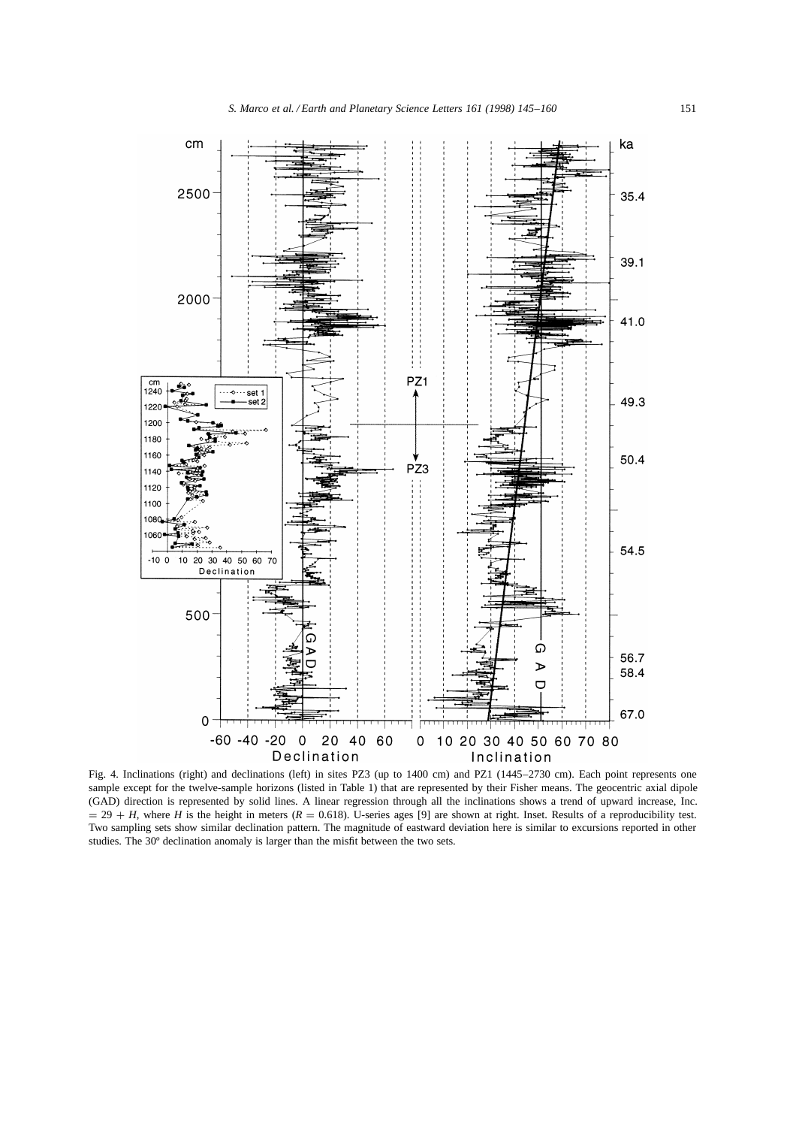

Fig. 4. Inclinations (right) and declinations (left) in sites PZ3 (up to 1400 cm) and PZ1 (1445–2730 cm). Each point represents one sample except for the twelve-sample horizons (listed in Table 1) that are represented by their Fisher means. The geocentric axial dipole (GAD) direction is represented by solid lines. A linear regression through all the inclinations shows a trend of upward increase, Inc.  $= 29 + H$ , where *H* is the height in meters ( $R = 0.618$ ). U-series ages [9] are shown at right. Inset. Results of a reproducibility test. Two sampling sets show similar declination pattern. The magnitude of eastward deviation here is similar to excursions reported in other studies. The 30º declination anomaly is larger than the misfit between the two sets.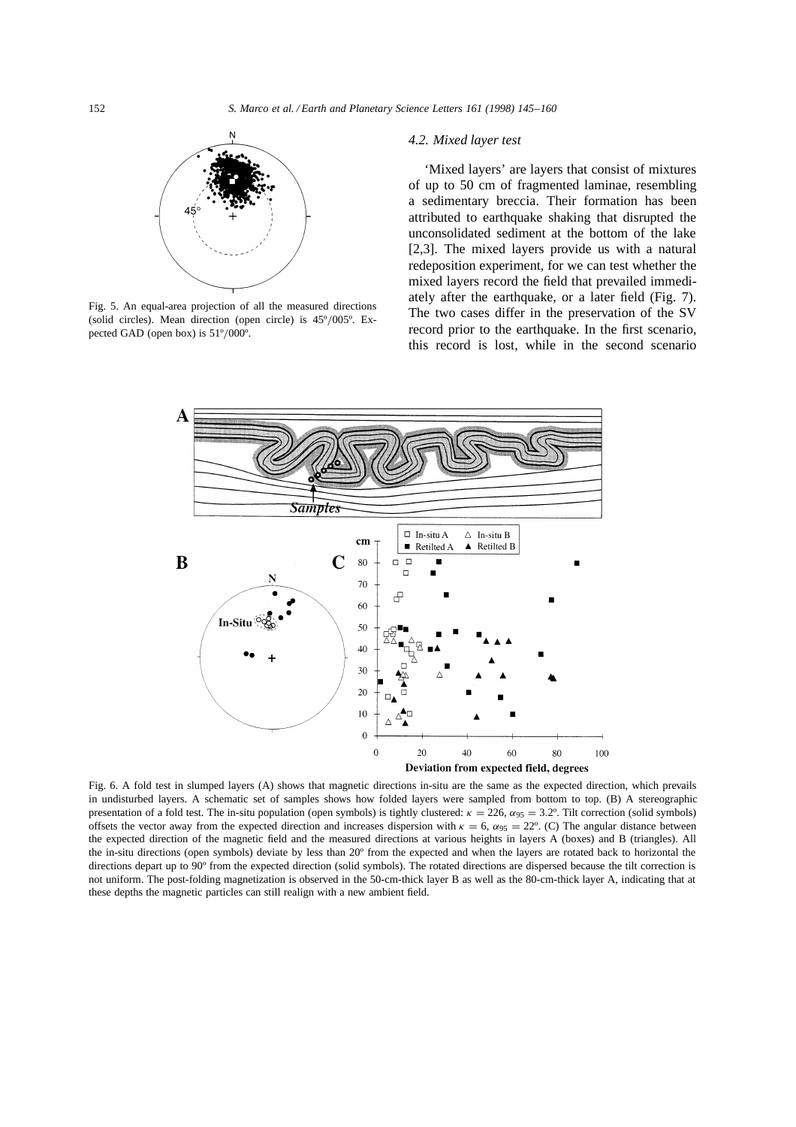

Fig. 5. An equal-area projection of all the measured directions (solid circles). Mean direction (open circle) is  $45^{\circ}/005^{\circ}$ . Expected GAD (open box) is  $51^{\circ}/000^{\circ}$ .

# *4.2. Mixed layer test*

'Mixed layers' are layers that consist of mixtures of up to 50 cm of fragmented laminae, resembling a sedimentary breccia. Their formation has been attributed to earthquake shaking that disrupted the unconsolidated sediment at the bottom of the lake [2,3]. The mixed layers provide us with a natural redeposition experiment, for we can test whether the mixed layers record the field that prevailed immediately after the earthquake, or a later field (Fig. 7). The two cases differ in the preservation of the SV record prior to the earthquake. In the first scenario, this record is lost, while in the second scenario



Fig. 6. A fold test in slumped layers (A) shows that magnetic directions in-situ are the same as the expected direction, which prevails in undisturbed layers. A schematic set of samples shows how folded layers were sampled from bottom to top. (B) A stereographic presentation of a fold test. The in-situ population (open symbols) is tightly clustered:  $\kappa = 226$ ,  $\alpha_{95} = 3.2^{\circ}$ . Tilt correction (solid symbols) offsets the vector away from the expected direction and increases dispersion with  $\kappa = 6$ ,  $\alpha_{95} = 22^{\circ}$ . (C) The angular distance between the expected direction of the magnetic field and the measured directions at various heights in layers A (boxes) and B (triangles). All the in-situ directions (open symbols) deviate by less than 20º from the expected and when the layers are rotated back to horizontal the directions depart up to 90º from the expected direction (solid symbols). The rotated directions are dispersed because the tilt correction is not uniform. The post-folding magnetization is observed in the 50-cm-thick layer B as well as the 80-cm-thick layer A, indicating that at these depths the magnetic particles can still realign with a new ambient field.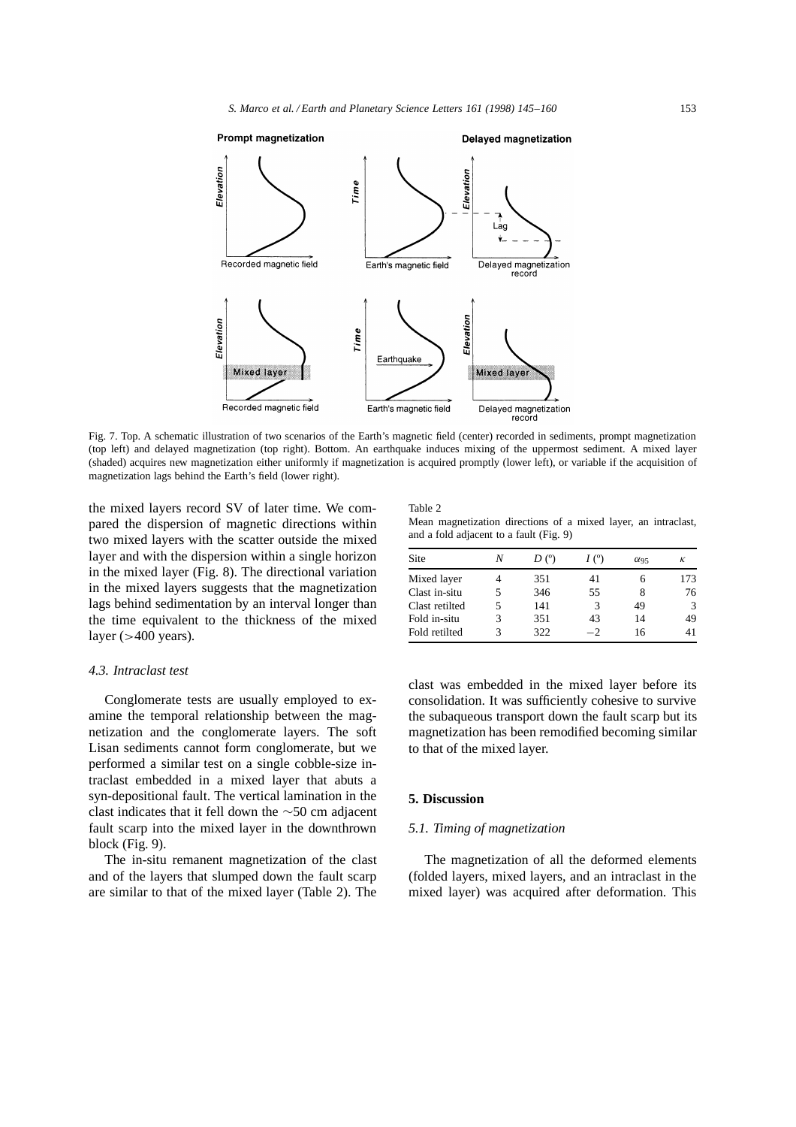

Fig. 7. Top. A schematic illustration of two scenarios of the Earth's magnetic field (center) recorded in sediments, prompt magnetization (top left) and delayed magnetization (top right). Bottom. An earthquake induces mixing of the uppermost sediment. A mixed layer (shaded) acquires new magnetization either uniformly if magnetization is acquired promptly (lower left), or variable if the acquisition of magnetization lags behind the Earth's field (lower right).

the mixed layers record SV of later time. We compared the dispersion of magnetic directions within two mixed layers with the scatter outside the mixed layer and with the dispersion within a single horizon in the mixed layer (Fig. 8). The directional variation in the mixed layers suggests that the magnetization lags behind sedimentation by an interval longer than the time equivalent to the thickness of the mixed layer  $(>400$  years).

#### *4.3. Intraclast test*

Conglomerate tests are usually employed to examine the temporal relationship between the magnetization and the conglomerate layers. The soft Lisan sediments cannot form conglomerate, but we performed a similar test on a single cobble-size intraclast embedded in a mixed layer that abuts a syn-depositional fault. The vertical lamination in the clast indicates that it fell down the  $\sim$ 50 cm adjacent fault scarp into the mixed layer in the downthrown block (Fig. 9).

The in-situ remanent magnetization of the clast and of the layers that slumped down the fault scarp are similar to that of the mixed layer (Table 2). The Table 2

Mean magnetization directions of a mixed layer, an intraclast, and a fold adjacent to a fault (Fig. 9)

| Site           | Ν | D <sup>o</sup> | I(°) | $\alpha$ 95 | κ             |
|----------------|---|----------------|------|-------------|---------------|
| Mixed layer    |   | 351            | 41   |             | 173           |
| Clast in-situ  |   | 346            | 55   |             | 76            |
| Clast retilted |   | 141            | 3    | 49          | $\mathcal{R}$ |
| Fold in-situ   | 3 | 351            | 43   | 14          | 49            |
| Fold retilted  | 3 | 322            | $-2$ | 16          | 41            |
|                |   |                |      |             |               |

clast was embedded in the mixed layer before its consolidation. It was sufficiently cohesive to survive the subaqueous transport down the fault scarp but its magnetization has been remodified becoming similar to that of the mixed layer.

# **5. Discussion**

# *5.1. Timing of magnetization*

The magnetization of all the deformed elements (folded layers, mixed layers, and an intraclast in the mixed layer) was acquired after deformation. This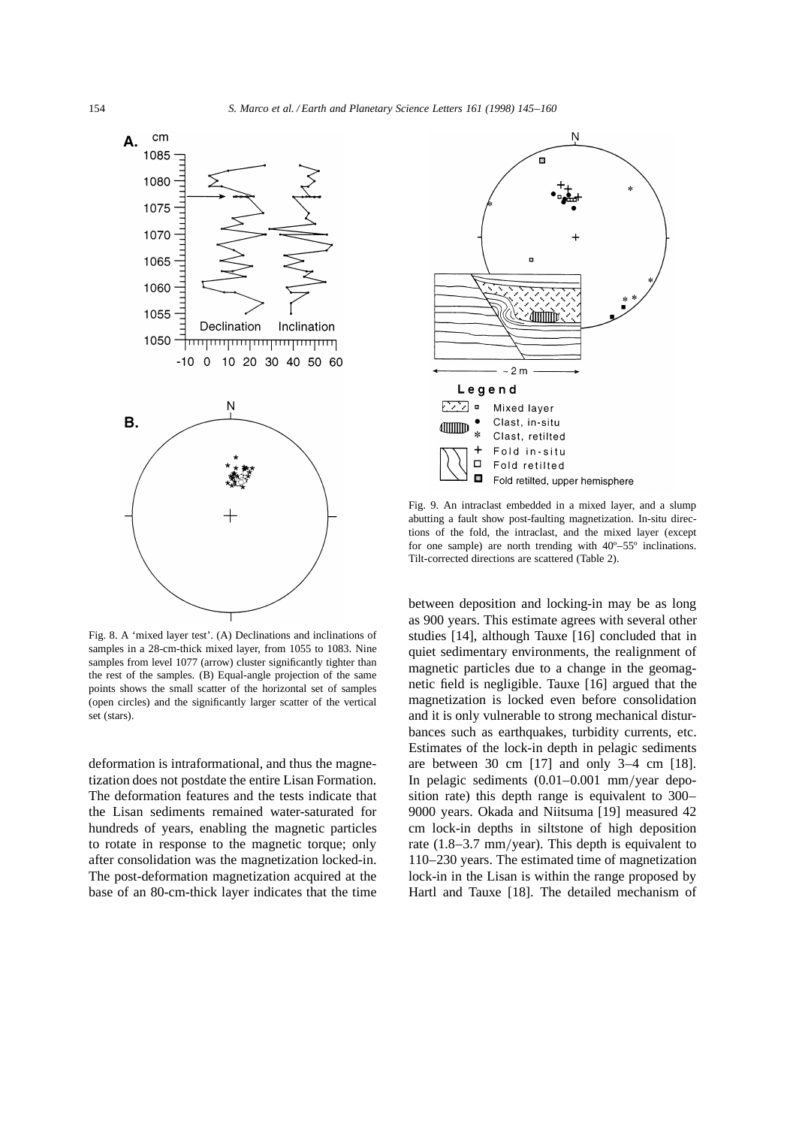

Fig. 8. A 'mixed layer test'. (A) Declinations and inclinations of samples in a 28-cm-thick mixed layer, from 1055 to 1083. Nine samples from level 1077 (arrow) cluster significantly tighter than the rest of the samples. (B) Equal-angle projection of the same points shows the small scatter of the horizontal set of samples (open circles) and the significantly larger scatter of the vertical set (stars).

deformation is intraformational, and thus the magnetization does not postdate the entire Lisan Formation. The deformation features and the tests indicate that the Lisan sediments remained water-saturated for hundreds of years, enabling the magnetic particles to rotate in response to the magnetic torque; only after consolidation was the magnetization locked-in. The post-deformation magnetization acquired at the base of an 80-cm-thick layer indicates that the time



Fig. 9. An intraclast embedded in a mixed layer, and a slump abutting a fault show post-faulting magnetization. In-situ directions of the fold, the intraclast, and the mixed layer (except for one sample) are north trending with 40º–55º inclinations. Tilt-corrected directions are scattered (Table 2).

between deposition and locking-in may be as long as 900 years. This estimate agrees with several other studies [14], although Tauxe [16] concluded that in quiet sedimentary environments, the realignment of magnetic particles due to a change in the geomagnetic field is negligible. Tauxe [16] argued that the magnetization is locked even before consolidation and it is only vulnerable to strong mechanical disturbances such as earthquakes, turbidity currents, etc. Estimates of the lock-in depth in pelagic sediments are between 30 cm [17] and only 3–4 cm [18]. In pelagic sediments  $(0.01-0.001$  mm/year deposition rate) this depth range is equivalent to 300– 9000 years. Okada and Niitsuma [19] measured 42 cm lock-in depths in siltstone of high deposition rate  $(1.8-3.7 \text{ mm/year})$ . This depth is equivalent to 110–230 years. The estimated time of magnetization lock-in in the Lisan is within the range proposed by Hartl and Tauxe [18]. The detailed mechanism of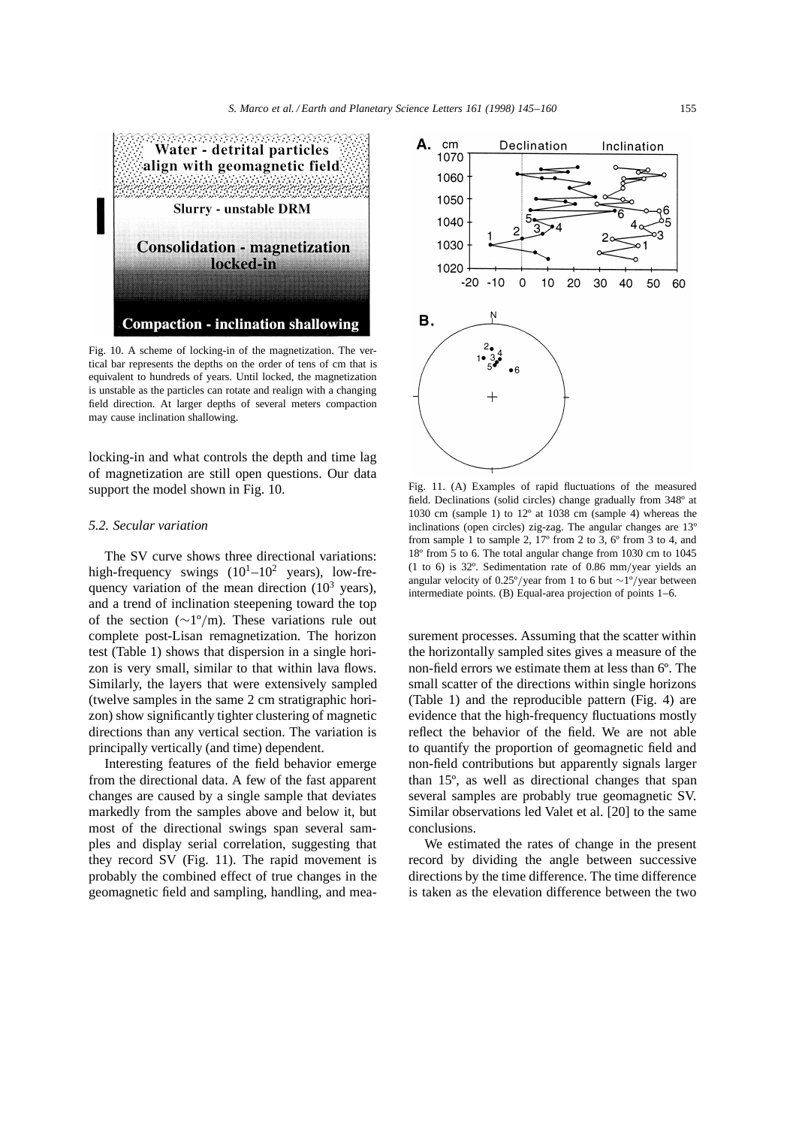

Fig. 10. A scheme of locking-in of the magnetization. The vertical bar represents the depths on the order of tens of cm that is equivalent to hundreds of years. Until locked, the magnetization is unstable as the particles can rotate and realign with a changing field direction. At larger depths of several meters compaction may cause inclination shallowing.

locking-in and what controls the depth and time lag of magnetization are still open questions. Our data support the model shown in Fig. 10.

# *5.2. Secular variation*

The SV curve shows three directional variations: high-frequency swings  $(10^1-10^2 \text{ years})$ , low-frequency variation of the mean direction  $(10^3 \text{ years})$ , and a trend of inclination steepening toward the top of the section ( $\sim$ 1°/m). These variations rule out complete post-Lisan remagnetization. The horizon test (Table 1) shows that dispersion in a single horizon is very small, similar to that within lava flows. Similarly, the layers that were extensively sampled (twelve samples in the same 2 cm stratigraphic horizon) show significantly tighter clustering of magnetic directions than any vertical section. The variation is principally vertically (and time) dependent.

Interesting features of the field behavior emerge from the directional data. A few of the fast apparent changes are caused by a single sample that deviates markedly from the samples above and below it, but most of the directional swings span several samples and display serial correlation, suggesting that they record SV (Fig. 11). The rapid movement is probably the combined effect of true changes in the geomagnetic field and sampling, handling, and mea-



Fig. 11. (A) Examples of rapid fluctuations of the measured field. Declinations (solid circles) change gradually from 348º at 1030 cm (sample 1) to 12º at 1038 cm (sample 4) whereas the inclinations (open circles) zig-zag. The angular changes are 13º from sample 1 to sample 2,  $17^{\circ}$  from 2 to 3,  $6^{\circ}$  from 3 to 4, and 18º from 5 to 6. The total angular change from 1030 cm to 1045 (1 to 6) is  $32^\circ$ . Sedimentation rate of 0.86 mm/year yields an angular velocity of 0.25°/year from 1 to 6 but  $\sim$ 1°/year between intermediate points. (B) Equal-area projection of points 1–6.

surement processes. Assuming that the scatter within the horizontally sampled sites gives a measure of the non-field errors we estimate them at less than 6º. The small scatter of the directions within single horizons (Table 1) and the reproducible pattern (Fig. 4) are evidence that the high-frequency fluctuations mostly reflect the behavior of the field. We are not able to quantify the proportion of geomagnetic field and non-field contributions but apparently signals larger than 15º, as well as directional changes that span several samples are probably true geomagnetic SV. Similar observations led Valet et al. [20] to the same conclusions.

We estimated the rates of change in the present record by dividing the angle between successive directions by the time difference. The time difference is taken as the elevation difference between the two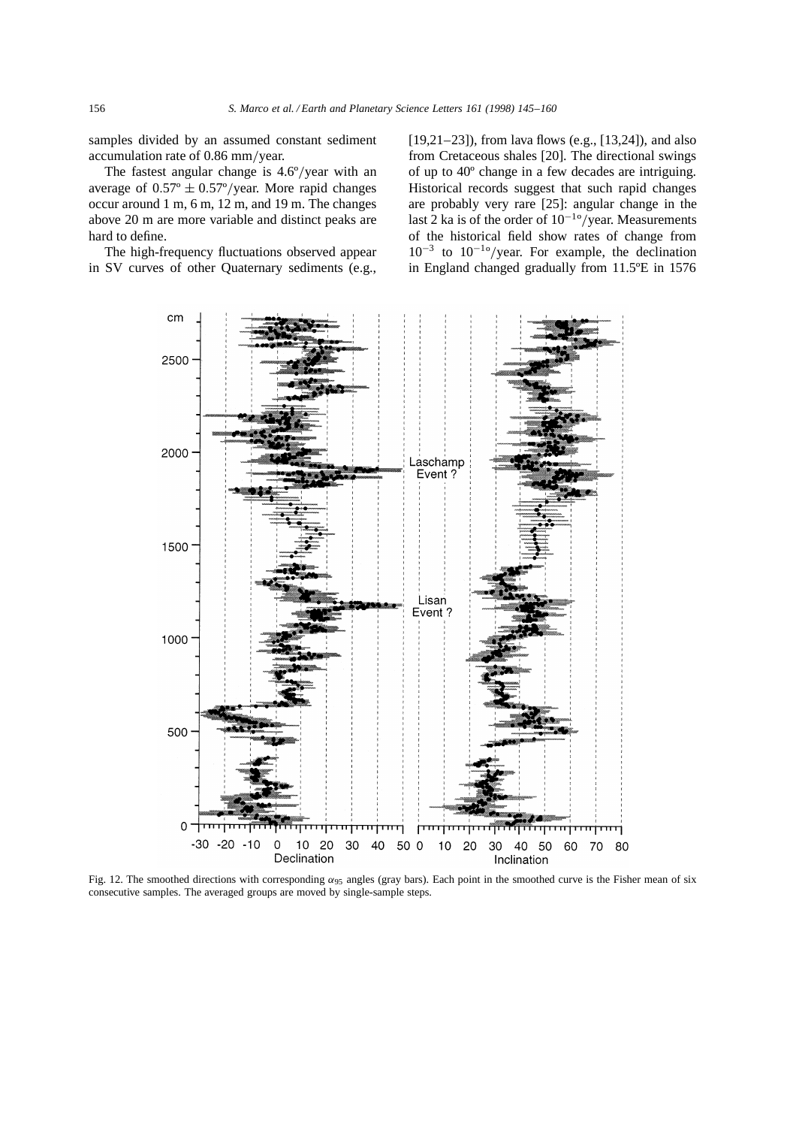samples divided by an assumed constant sediment accumulation rate of  $0.86$  mm/year.

The fastest angular change is  $4.6^{\circ}/year$  with an average of  $0.57^{\circ} \pm 0.57^{\circ}$ /year. More rapid changes occur around 1 m, 6 m, 12 m, and 19 m. The changes above 20 m are more variable and distinct peaks are hard to define.

The high-frequency fluctuations observed appear in SV curves of other Quaternary sediments (e.g., [19,21–23]), from lava flows (e.g., [13,24]), and also from Cretaceous shales [20]. The directional swings of up to 40º change in a few decades are intriguing. Historical records suggest that such rapid changes are probably very rare [25]: angular change in the last 2 ka is of the order of  $10^{-1}$ <sup>o</sup>/year. Measurements of the historical field show rates of change from  $10^{-3}$  to  $10^{-10}$ /year. For example, the declination in England changed gradually from 11.5ºE in 1576



Fig. 12. The smoothed directions with corresponding  $\alpha_{95}$  angles (gray bars). Each point in the smoothed curve is the Fisher mean of six consecutive samples. The averaged groups are moved by single-sample steps.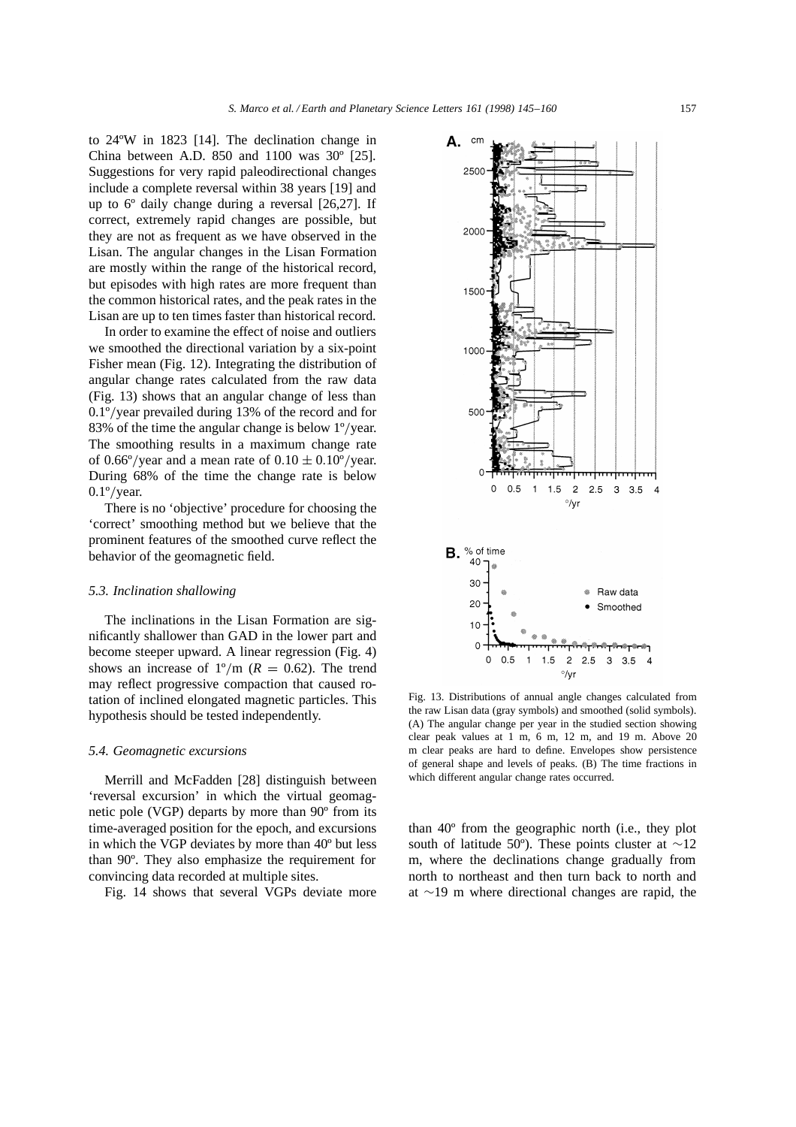to 24ºW in 1823 [14]. The declination change in China between A.D. 850 and 1100 was 30º [25]. Suggestions for very rapid paleodirectional changes include a complete reversal within 38 years [19] and up to 6º daily change during a reversal [26,27]. If correct, extremely rapid changes are possible, but they are not as frequent as we have observed in the Lisan. The angular changes in the Lisan Formation are mostly within the range of the historical record, but episodes with high rates are more frequent than the common historical rates, and the peak rates in the Lisan are up to ten times faster than historical record.

In order to examine the effect of noise and outliers we smoothed the directional variation by a six-point Fisher mean (Fig. 12). Integrating the distribution of angular change rates calculated from the raw data (Fig. 13) shows that an angular change of less than  $0.1\degree$ /vear prevailed during 13% of the record and for 83% of the time the angular change is below  $1^{\circ}/\text{year}$ . The smoothing results in a maximum change rate of 0.66°/year and a mean rate of  $0.10 \pm 0.10$ °/year. During 68% of the time the change rate is below  $0.1^{\circ}/\text{year}.$ 

There is no 'objective' procedure for choosing the 'correct' smoothing method but we believe that the prominent features of the smoothed curve reflect the behavior of the geomagnetic field.

#### *5.3. Inclination shallowing*

The inclinations in the Lisan Formation are significantly shallower than GAD in the lower part and become steeper upward. A linear regression (Fig. 4) shows an increase of  $1^{\circ}/m$  ( $R = 0.62$ ). The trend may reflect progressive compaction that caused rotation of inclined elongated magnetic particles. This hypothesis should be tested independently.

#### *5.4. Geomagnetic excursions*

Merrill and McFadden [28] distinguish between 'reversal excursion' in which the virtual geomagnetic pole (VGP) departs by more than 90º from its time-averaged position for the epoch, and excursions in which the VGP deviates by more than 40º but less than 90º. They also emphasize the requirement for convincing data recorded at multiple sites.

Fig. 14 shows that several VGPs deviate more



Fig. 13. Distributions of annual angle changes calculated from the raw Lisan data (gray symbols) and smoothed (solid symbols). (A) The angular change per year in the studied section showing clear peak values at 1 m, 6 m, 12 m, and 19 m. Above 20 m clear peaks are hard to define. Envelopes show persistence of general shape and levels of peaks. (B) The time fractions in which different angular change rates occurred.

than 40º from the geographic north (i.e., they plot south of latitude 50°). These points cluster at  $\sim$ 12 m, where the declinations change gradually from north to northeast and then turn back to north and at  $\sim$ 19 m where directional changes are rapid, the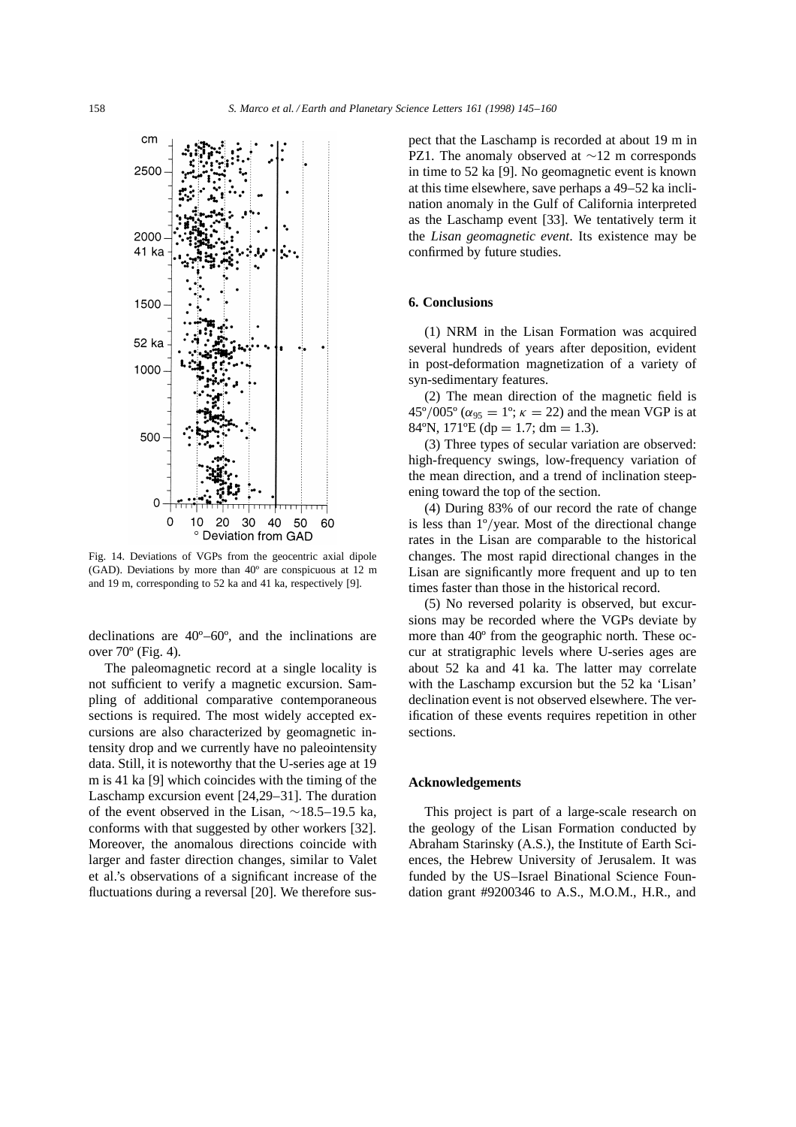

Fig. 14. Deviations of VGPs from the geocentric axial dipole (GAD). Deviations by more than 40º are conspicuous at 12 m and 19 m, corresponding to 52 ka and 41 ka, respectively [9].

declinations are 40º–60º, and the inclinations are over 70º (Fig. 4).

The paleomagnetic record at a single locality is not sufficient to verify a magnetic excursion. Sampling of additional comparative contemporaneous sections is required. The most widely accepted excursions are also characterized by geomagnetic intensity drop and we currently have no paleointensity data. Still, it is noteworthy that the U-series age at 19 m is 41 ka [9] which coincides with the timing of the Laschamp excursion event [24,29–31]. The duration of the event observed in the Lisan,  $\sim$ 18.5–19.5 ka, conforms with that suggested by other workers [32]. Moreover, the anomalous directions coincide with larger and faster direction changes, similar to Valet et al.'s observations of a significant increase of the fluctuations during a reversal [20]. We therefore suspect that the Laschamp is recorded at about 19 m in PZ1. The anomaly observed at  $\sim$ 12 m corresponds in time to 52 ka [9]. No geomagnetic event is known at this time elsewhere, save perhaps a 49–52 ka inclination anomaly in the Gulf of California interpreted as the Laschamp event [33]. We tentatively term it the *Lisan geomagnetic event*. Its existence may be confirmed by future studies.

# **6. Conclusions**

(1) NRM in the Lisan Formation was acquired several hundreds of years after deposition, evident in post-deformation magnetization of a variety of syn-sedimentary features.

(2) The mean direction of the magnetic field is  $45^{\circ}/005^{\circ}$  ( $\alpha_{95} = 1^{\circ}$ ;  $\kappa = 22$ ) and the mean VGP is at 84°N, 171°E (dp = 1.7; dm = 1.3).

(3) Three types of secular variation are observed: high-frequency swings, low-frequency variation of the mean direction, and a trend of inclination steepening toward the top of the section.

(4) During 83% of our record the rate of change is less than  $1^{\circ}/$ year. Most of the directional change rates in the Lisan are comparable to the historical changes. The most rapid directional changes in the Lisan are significantly more frequent and up to ten times faster than those in the historical record.

(5) No reversed polarity is observed, but excursions may be recorded where the VGPs deviate by more than 40º from the geographic north. These occur at stratigraphic levels where U-series ages are about 52 ka and 41 ka. The latter may correlate with the Laschamp excursion but the 52 ka 'Lisan' declination event is not observed elsewhere. The verification of these events requires repetition in other sections.

# **Acknowledgements**

This project is part of a large-scale research on the geology of the Lisan Formation conducted by Abraham Starinsky (A.S.), the Institute of Earth Sciences, the Hebrew University of Jerusalem. It was funded by the US–Israel Binational Science Foundation grant #9200346 to A.S., M.O.M., H.R., and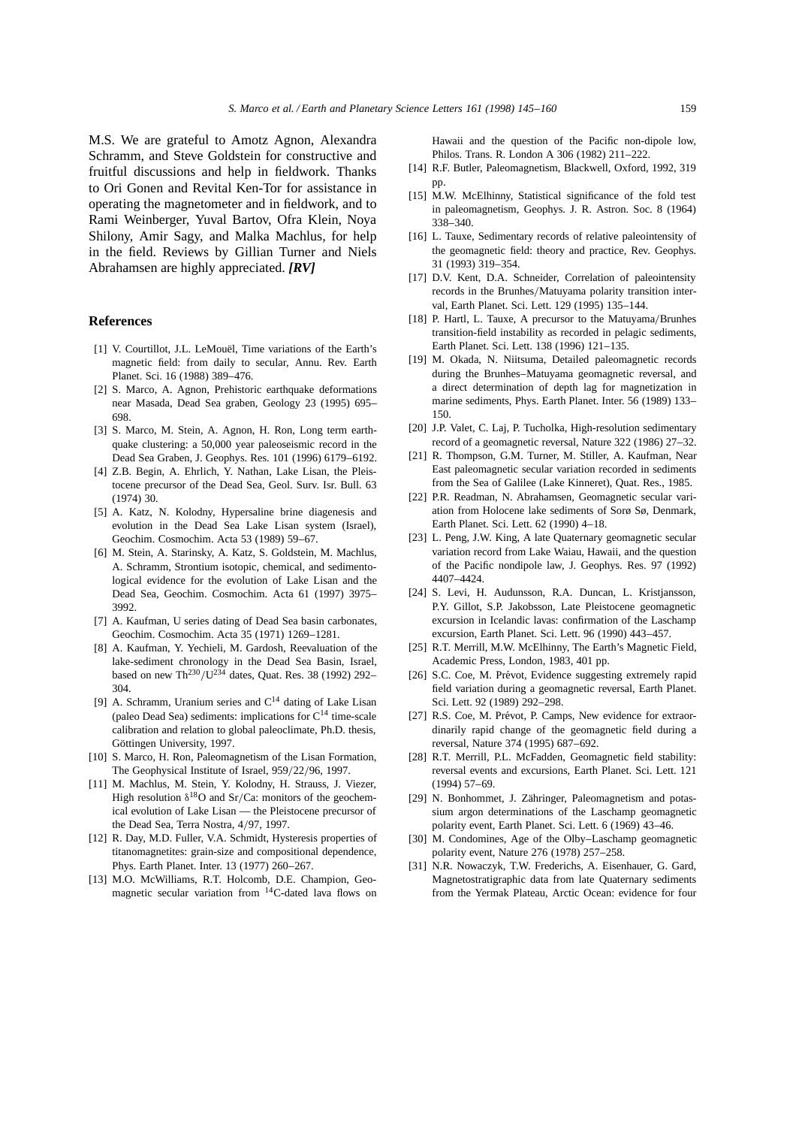M.S. We are grateful to Amotz Agnon, Alexandra Schramm, and Steve Goldstein for constructive and fruitful discussions and help in fieldwork. Thanks to Ori Gonen and Revital Ken-Tor for assistance in operating the magnetometer and in fieldwork, and to Rami Weinberger, Yuval Bartov, Ofra Klein, Noya Shilony, Amir Sagy, and Malka Machlus, for help in the field. Reviews by Gillian Turner and Niels Abrahamsen are highly appreciated. *[RV]*

#### **References**

- [1] V. Courtillot, J.L. LeMouël, Time variations of the Earth's magnetic field: from daily to secular, Annu. Rev. Earth Planet. Sci. 16 (1988) 389–476.
- [2] S. Marco, A. Agnon, Prehistoric earthquake deformations near Masada, Dead Sea graben, Geology 23 (1995) 695– 698.
- [3] S. Marco, M. Stein, A. Agnon, H. Ron, Long term earthquake clustering: a 50,000 year paleoseismic record in the Dead Sea Graben, J. Geophys. Res. 101 (1996) 6179–6192.
- [4] Z.B. Begin, A. Ehrlich, Y. Nathan, Lake Lisan, the Pleistocene precursor of the Dead Sea, Geol. Surv. Isr. Bull. 63 (1974) 30.
- [5] A. Katz, N. Kolodny, Hypersaline brine diagenesis and evolution in the Dead Sea Lake Lisan system (Israel), Geochim. Cosmochim. Acta 53 (1989) 59–67.
- [6] M. Stein, A. Starinsky, A. Katz, S. Goldstein, M. Machlus, A. Schramm, Strontium isotopic, chemical, and sedimentological evidence for the evolution of Lake Lisan and the Dead Sea, Geochim. Cosmochim. Acta 61 (1997) 3975– 3992.
- [7] A. Kaufman, U series dating of Dead Sea basin carbonates, Geochim. Cosmochim. Acta 35 (1971) 1269–1281.
- [8] A. Kaufman, Y. Yechieli, M. Gardosh, Reevaluation of the lake-sediment chronology in the Dead Sea Basin, Israel, based on new Th<sup>230</sup>/U<sup>234</sup> dates, Quat. Res. 38 (1992) 292– 304.
- [9] A. Schramm, Uranium series and  $C^{14}$  dating of Lake Lisan (paleo Dead Sea) sediments: implications for  $C^{14}$  time-scale calibration and relation to global paleoclimate, Ph.D. thesis, Göttingen University, 1997.
- [10] S. Marco, H. Ron, Paleomagnetism of the Lisan Formation, The Geophysical Institute of Israel, 959/22/96, 1997.
- [11] M. Machlus, M. Stein, Y. Kolodny, H. Strauss, J. Viezer, High resolution  $\delta^{18}O$  and Sr/Ca: monitors of the geochemical evolution of Lake Lisan — the Pleistocene precursor of the Dead Sea, Terra Nostra, 4/97, 1997.
- [12] R. Day, M.D. Fuller, V.A. Schmidt, Hysteresis properties of titanomagnetites: grain-size and compositional dependence, Phys. Earth Planet. Inter. 13 (1977) 260–267.
- [13] M.O. McWilliams, R.T. Holcomb, D.E. Champion, Geomagnetic secular variation from 14C-dated lava flows on

Hawaii and the question of the Pacific non-dipole low, Philos. Trans. R. London A 306 (1982) 211–222.

- [14] R.F. Butler, Paleomagnetism, Blackwell, Oxford, 1992, 319 pp.
- [15] M.W. McElhinny, Statistical significance of the fold test in paleomagnetism, Geophys. J. R. Astron. Soc. 8 (1964) 338–340.
- [16] L. Tauxe, Sedimentary records of relative paleointensity of the geomagnetic field: theory and practice, Rev. Geophys. 31 (1993) 319–354.
- [17] D.V. Kent, D.A. Schneider, Correlation of paleointensity records in the Brunhes/Matuyama polarity transition interval, Earth Planet. Sci. Lett. 129 (1995) 135–144.
- [18] P. Hartl, L. Tauxe, A precursor to the Matuyama/Brunhes transition-field instability as recorded in pelagic sediments, Earth Planet. Sci. Lett. 138 (1996) 121–135.
- [19] M. Okada, N. Niitsuma, Detailed paleomagnetic records during the Brunhes–Matuyama geomagnetic reversal, and a direct determination of depth lag for magnetization in marine sediments, Phys. Earth Planet. Inter. 56 (1989) 133– 150.
- [20] J.P. Valet, C. Laj, P. Tucholka, High-resolution sedimentary record of a geomagnetic reversal, Nature 322 (1986) 27–32.
- [21] R. Thompson, G.M. Turner, M. Stiller, A. Kaufman, Near East paleomagnetic secular variation recorded in sediments from the Sea of Galilee (Lake Kinneret), Quat. Res., 1985.
- [22] P.R. Readman, N. Abrahamsen, Geomagnetic secular variation from Holocene lake sediments of Sorø Sø, Denmark, Earth Planet. Sci. Lett. 62 (1990) 4–18.
- [23] L. Peng, J.W. King, A late Quaternary geomagnetic secular variation record from Lake Waiau, Hawaii, and the question of the Pacific nondipole law, J. Geophys. Res. 97 (1992) 4407–4424.
- [24] S. Levi, H. Audunsson, R.A. Duncan, L. Kristjansson, P.Y. Gillot, S.P. Jakobsson, Late Pleistocene geomagnetic excursion in Icelandic lavas: confirmation of the Laschamp excursion, Earth Planet. Sci. Lett. 96 (1990) 443–457.
- [25] R.T. Merrill, M.W. McElhinny, The Earth's Magnetic Field, Academic Press, London, 1983, 401 pp.
- [26] S.C. Coe, M. Prévot, Evidence suggesting extremely rapid field variation during a geomagnetic reversal, Earth Planet. Sci. Lett. 92 (1989) 292–298.
- [27] R.S. Coe, M. Prévot, P. Camps, New evidence for extraordinarily rapid change of the geomagnetic field during a reversal, Nature 374 (1995) 687–692.
- [28] R.T. Merrill, P.L. McFadden, Geomagnetic field stability: reversal events and excursions, Earth Planet. Sci. Lett. 121 (1994) 57–69.
- [29] N. Bonhommet, J. Zähringer, Paleomagnetism and potassium argon determinations of the Laschamp geomagnetic polarity event, Earth Planet. Sci. Lett. 6 (1969) 43–46.
- [30] M. Condomines, Age of the Olby–Laschamp geomagnetic polarity event, Nature 276 (1978) 257–258.
- [31] N.R. Nowaczyk, T.W. Frederichs, A. Eisenhauer, G. Gard, Magnetostratigraphic data from late Quaternary sediments from the Yermak Plateau, Arctic Ocean: evidence for four